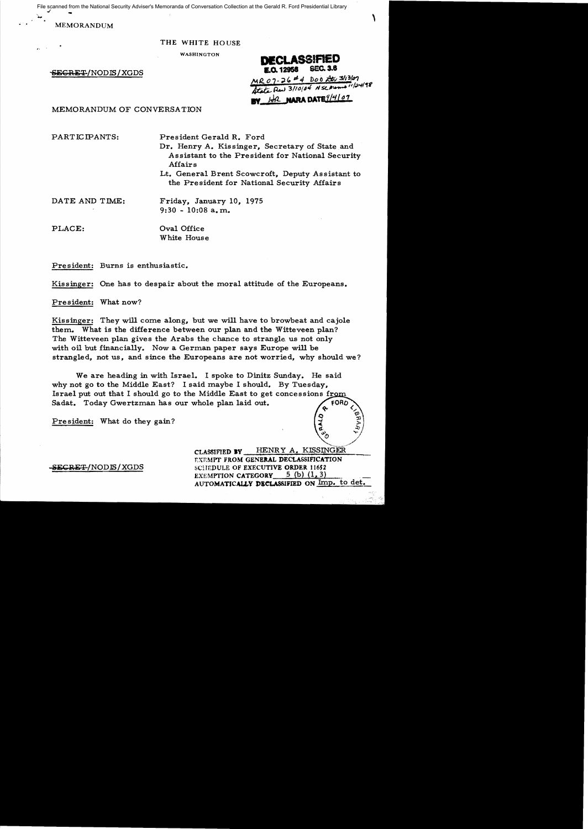File scanned from the National Security Adviser's Memoranda of Conversation Collection at the Gerald R. Ford Presidential Library<br>MEMORANDUM File scanned from the National Security Adviser's Memoranda of Conversation Collection at the Gerald R. Ford Presidential Library

MEMORANDUM

## THE WHITE HOUSE

WASHINGTON

 $-$ &EGRET/NODIS/XGDS

**DECLASSIFIED SEC. 3.6** E.O. 12958 MR 07-26 # 4 DOO Atr 3/13/07 Atate Red 3/10/04 N sc moment 1/24/98 HR NARA DATE 9/4/07

MEMORANDUM OF CONVERSA TION

PARTICIPANTS: President Gerald R. Ford

Dr. Henry A. Kissinger, Secretary of State and Assistant to the President for National Security Affairs Lt. General Brent Scowcroft, Deputy Assistant to

the President for National Security Affairs

DATE AND TIME: Friday, January 10, 1975 9:30 - 10:08 a. m.

PLACE:  $Oval$  Oral Office White House

President: Burns is enthusiastic.

Kissinger: One has to despair about the moral attitude of the Europeans.

President: What now?

Kissinger: They will come along, but we will have to browbeat and cajole them. What is the difference between our plan and the Witteveen plan? The Witteveen plan gives the Arabs the chance to strangle us not only with oil but financially. Now a German paper says Europe will be strangled, not us, and since the Europeans are not worried, why should we?

We are heading in with Israel. I spoke to Dinitz Sunday. He said why not go to the Middle East? I said maybe I should. By Tuesday, Israel put out that I should go to the Middle East to get concessions from Sadat. Today Gwertzman has our whole plan laid out.

President: What do they gain?

.// CLASSIFIED **BY** HENRY A. KISSINGER EXEMPT FROM GENERAL DECLASSIFICATION SECRET/NODIS/XGDS SCIEDULE OF EXECUTIVE ORDER 11652 EXEMPTION CATEGORY  $5$  (b) (1, 3) AUTOMATICALLY **DielASSIFJED** ON Imp. to det.

 $\sim$ o o

~. ..':tl,  $v_{\alpha}$   $v_{\beta}$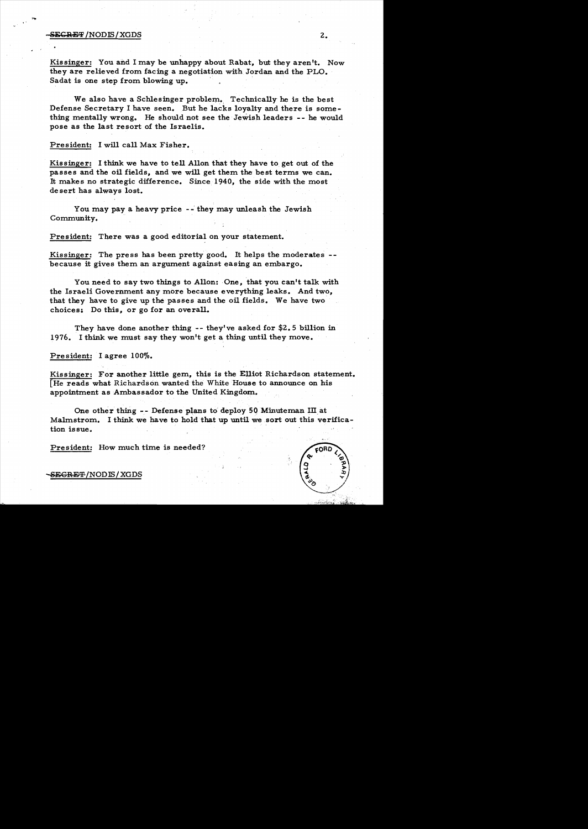## SE<del>CRET</del> /NODIS/XGDS 2.

Kissinger: You and I may be unhappy about Rabat, but they aren't. Now they are relieved from facing a negotiation with Jordan and the PLO. Sadat is one step from blowing up.

We also have a Schlesinger problem. Technically he is the best Defense Secretary I have seen. But he lacks loyalty and there is some thing mentally wrong. He should not see the Jewish leaders - - he would pose as the last resort of the Israelis.

President: I will call Max Fisher.

Kissinger: I think we have to tell Allon that they have to get out of the passes and the oil fields, and we will get them the best terms we can. It makes no strategic difference. Since 1940, the side with the most de sert has always lost.

You may pay a heavy price -- they may unleash the Jewish Community.

President: There was a good editorial on your statement.

Kissinger: The press has been pretty good. It helps the moderates because it gives them an argument against easing an embargo.

You need to say two things to Allon: One, that you can't talk with the Israeli Government any more because everything leaks. And two, that they have to give up the passes and the oil fields. We have two choices: Do this, or go for an overall.

They have done another thing -- they've asked for \$2.5 billion in 1976. I think we must say they won't get a thing until they move.

President: I agree 100%.

Kissinger: For another little gem, this is the Elliot Richardson statement. [He reads what Richardson wanted the White House to announce on his appointment as Ambassador to the United Kingdom.

One other thing -- Defense plans to deploy 50 Minuteman III at Malmstrom. I think we have to hold that up until we sort out this verification issue.

President: How much time is needed?

## -S<del>ECRET</del> /NODIS / XGDS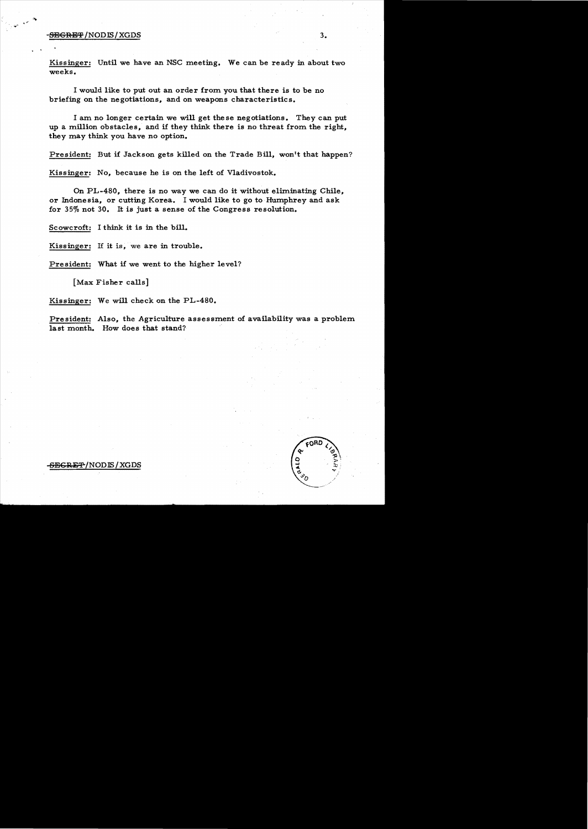## $\overline{\text{SBGRBF}}$ /NODIS/XGDS  $3.$

. .

Kissinger: Until we have an NSC meeting. We can be ready in about two weeks.

I would like to put out an order from you that there is to be no briefing on the negotiations, and on weapons characteristics.

I am no longer certain we will get these negotiations. They can put up a million obstacles, and if they think there is no threat from the right, they may think you have no option.

President: But if Jackson gets killed on the Trade Bill, won't that happen?

Kissinger: No, because he is on the left of Vladivostok.

On PL-480, there is no way we can do it without eliminating Chile, or Indonesia, or cutting Korea. I would like to go to Humphrey and ask for 35% not 30. It is just a sense of the Congress resolution.

Scowcroft: I think it is in the bill.

Kissinger: If it is, we are in trouble.

President: What if we went to the higher level?

[Max Fisher calls]

Kissinger: We will check on the PL-480.

President: Also, the Agriculture assessment of availability was a problem last month. How does that stand?



-SEGRE<del>T</del>/NODIS/XGDS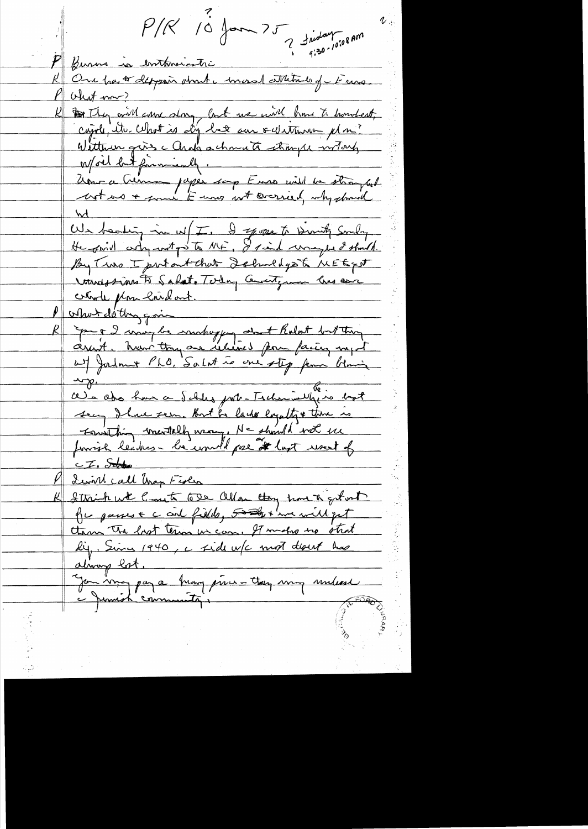$P/R$  10 form  $75$  divident region Burns is entmainstre One part deppair dont i moral attitude of Fries. Des They aire along last une mil home to hondest, Witten girs c Arak a characte stronger interfer World but financially. Unir a Cuma pages soup Enne mille de strangent We heating in w [I. I sepope to Dirity Smly. By Two I pritant that Schuldgest MEEgst roundstimes to Sabot. Today County som line as color de plans loi dont. P other detting qui part 2 may be make you det Rolat but ting<br>assist, have they are related from facter myst sen Ihre sem. But la lache competty there is Fourthing mentally wany, Ne should wet use E.F. States <u>Lewirl call than Fisher</u> Sthick with Court 622 allow they have to get unt he passes and fille, 500 + we will get them the last term in case. It makes no strat lig, Since 1940, a fide w/c mot don't has almong lot. Jon vingt af a branq prins - they ving unless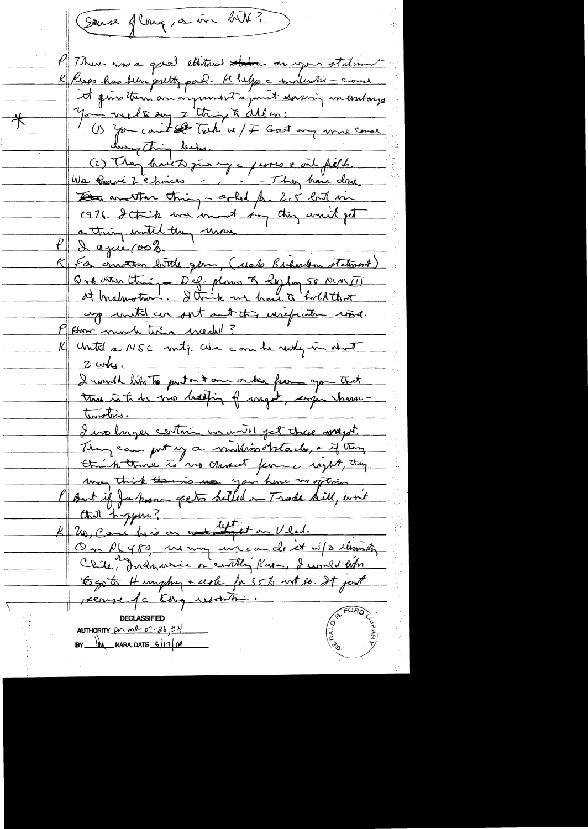(Souse of Counq, on vive bill?) M There was a good edition the on your statement K Peros has been pretty pard- the helps a molerates - cause it par tour an original a point soming in embarge  $\,{}^{\displaystyle}\,\,$ (2) They have to give my a passes ont fields. We fouré 2 Chines -, - - They have done The another thing - asked for 2.5 lod in 1976 Strip we comet in the wort get a thing institution wine <u>I agué pob.</u> K For ouvertion bottle gern, (colo Brihardon statement) One other thing - Dep-plans & legling 50 NULTI up with an out out this writing wind. P Home councile time mechani? K Until a NSC moty. We can be ready in that  $2$  was. I would like to put out one order from you that this is to be me bedding of myst, urge where-Temples. I we longer certain we will get these wagst. They can put my a willwootstack, - if they Hin troie to vo Assacht ferme right, they may think there is use you have my often But if Ja hom gets helled on Trade Sill, won't Ctart hyper ? On PLY80 us voy un coude et ut a lumity Clie, Indonesia à centle Kasa, I comes biber Egste Humphy + ush for 35% with so. It just recuse fc they resolution. AUTHORITY  $\rho \sim m^2$  07-26,  $\#$ 1)  $BY$   $M$  NARA, DATE  $\frac{6}{11}$  of